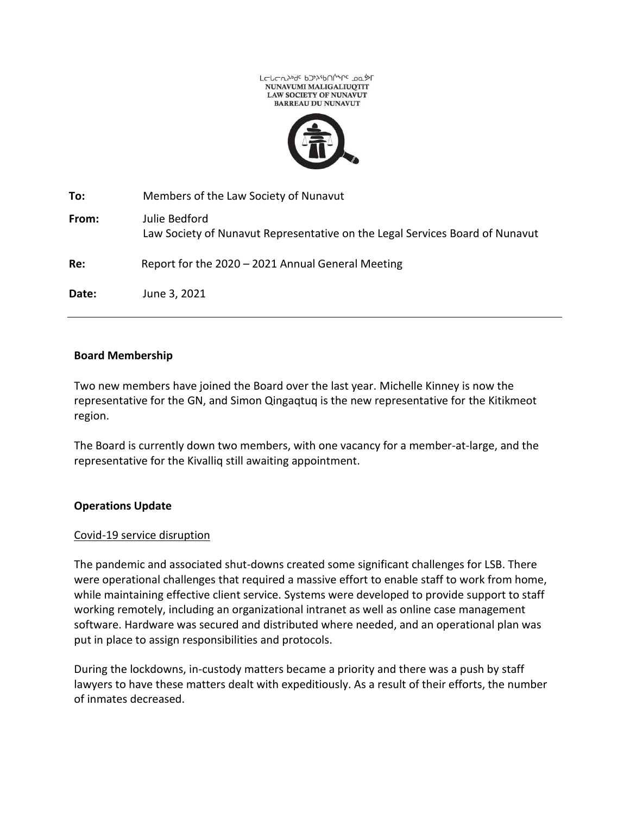



| To:   | Members of the Law Society of Nunavut                                                         |
|-------|-----------------------------------------------------------------------------------------------|
| From: | Julie Bedford<br>Law Society of Nunavut Representative on the Legal Services Board of Nunavut |
| Re:   | Report for the 2020 - 2021 Annual General Meeting                                             |
| Date: | June 3, 2021                                                                                  |

## **Board Membership**

Two new members have joined the Board over the last year. Michelle Kinney is now the representative for the GN, and Simon Qingaqtuq is the new representative for the Kitikmeot region.

The Board is currently down two members, with one vacancy for a member-at-large, and the representative for the Kivalliq still awaiting appointment.

#### **Operations Update**

#### Covid-19 service disruption

The pandemic and associated shut-downs created some significant challenges for LSB. There were operational challenges that required a massive effort to enable staff to work from home, while maintaining effective client service. Systems were developed to provide support to staff working remotely, including an organizational intranet as well as online case management software. Hardware was secured and distributed where needed, and an operational plan was put in place to assign responsibilities and protocols.

During the lockdowns, in-custody matters became a priority and there was a push by staff lawyers to have these matters dealt with expeditiously. As a result of their efforts, the number of inmates decreased.